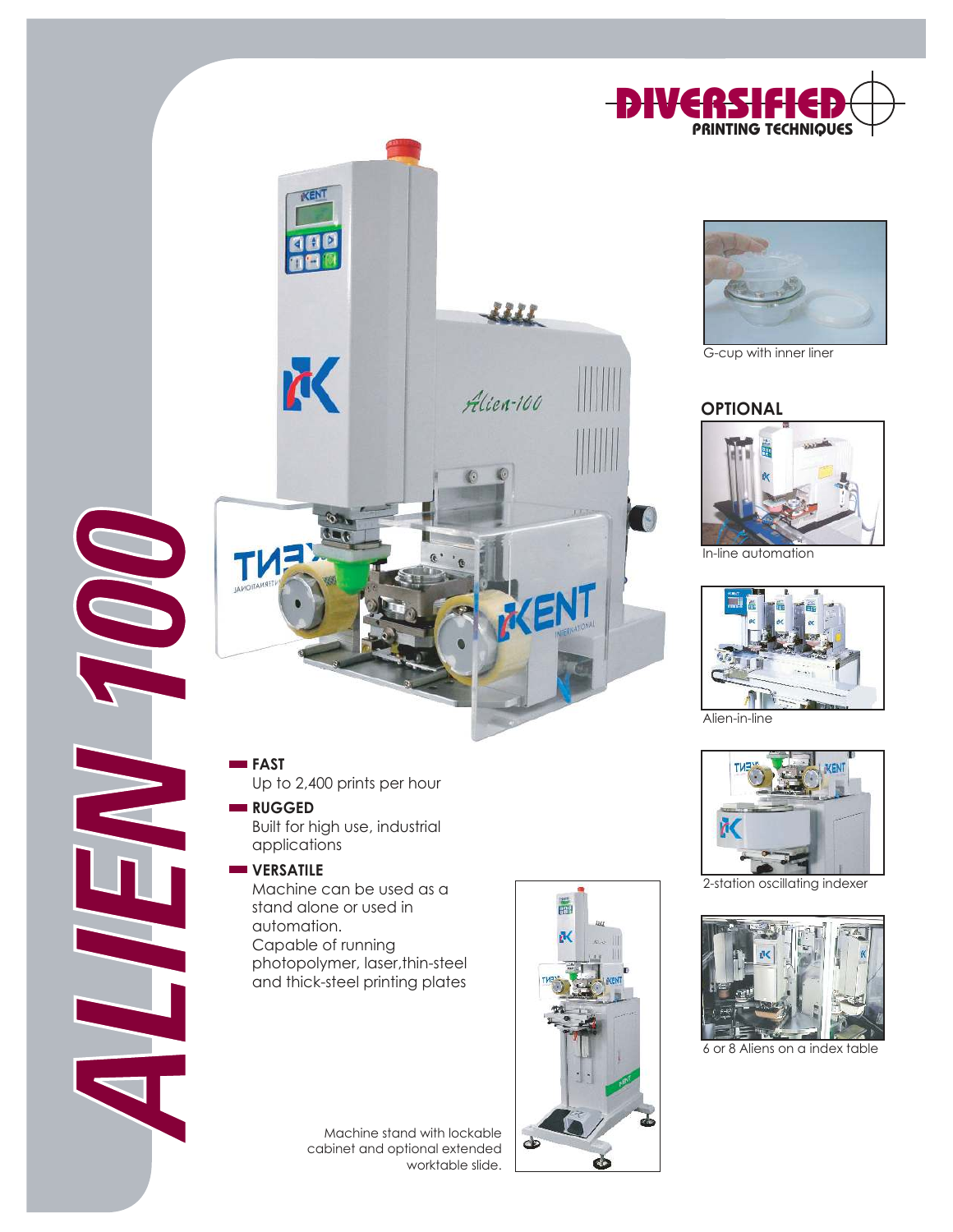



G-cup with inner liner

#### **OPTIONAL**



In-line automation



Alien-in-line



2-station oscillating indexer



6 or 8 Aliens on a index table



**FAST**

Up to 2,400 prints per hour

KENT

K

 $\sigma$ 

#### **RUGGED**

Built for high use, industrial applications

#### **WERSATILE**

Machine can be used as a stand alone or used in automation. Capable of running photopolymer, laser,thin-steel and thick-steel printing plates

> Machine stand with lockable cabinet and optional extended worktable slide.



W

Alien-100